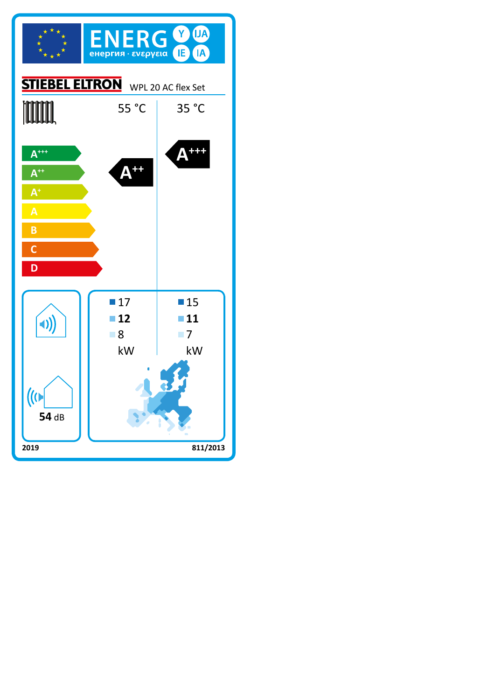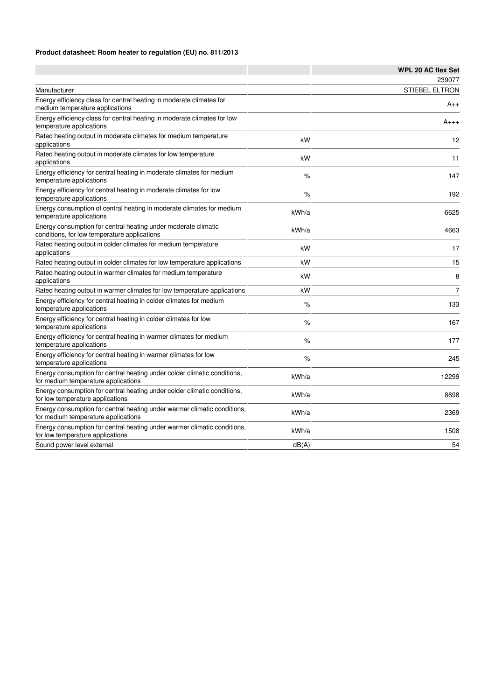## **Product datasheet: Room heater to regulation (EU) no. 811/2013**

|                                                                                                                 |       | <b>WPL 20 AC flex Set</b> |
|-----------------------------------------------------------------------------------------------------------------|-------|---------------------------|
|                                                                                                                 |       | 239077                    |
| Manufacturer                                                                                                    |       | <b>STIEBEL ELTRON</b>     |
| Energy efficiency class for central heating in moderate climates for<br>medium temperature applications         |       | $A_{++}$                  |
| Energy efficiency class for central heating in moderate climates for low<br>temperature applications            |       | $A_{+++}$                 |
| Rated heating output in moderate climates for medium temperature<br>applications                                | kW    | 12                        |
| Rated heating output in moderate climates for low temperature<br>applications                                   | kW    | 11                        |
| Energy efficiency for central heating in moderate climates for medium<br>temperature applications               | %     | 147                       |
| Energy efficiency for central heating in moderate climates for low<br>temperature applications                  | %     | 192                       |
| Energy consumption of central heating in moderate climates for medium<br>temperature applications               | kWh/a | 6625                      |
| Energy consumption for central heating under moderate climatic<br>conditions, for low temperature applications  | kWh/a | 4663                      |
| Rated heating output in colder climates for medium temperature<br>applications                                  | kW    | 17                        |
| Rated heating output in colder climates for low temperature applications                                        | kW    | 15                        |
| Rated heating output in warmer climates for medium temperature<br>applications                                  | kW    | 8                         |
| Rated heating output in warmer climates for low temperature applications                                        | kW    | $\overline{7}$            |
| Energy efficiency for central heating in colder climates for medium<br>temperature applications                 | %     | 133                       |
| Energy efficiency for central heating in colder climates for low<br>temperature applications                    | $\%$  | 167                       |
| Energy efficiency for central heating in warmer climates for medium<br>temperature applications                 | %     | 177                       |
| Energy efficiency for central heating in warmer climates for low<br>temperature applications                    | %     | 245                       |
| Energy consumption for central heating under colder climatic conditions,<br>for medium temperature applications | kWh/a | 12299                     |
| Energy consumption for central heating under colder climatic conditions,<br>for low temperature applications    | kWh/a | 8698                      |
| Energy consumption for central heating under warmer climatic conditions,<br>for medium temperature applications | kWh/a | 2369                      |
| Energy consumption for central heating under warmer climatic conditions,<br>for low temperature applications    | kWh/a | 1508                      |
| Sound power level external                                                                                      | dB(A) | 54                        |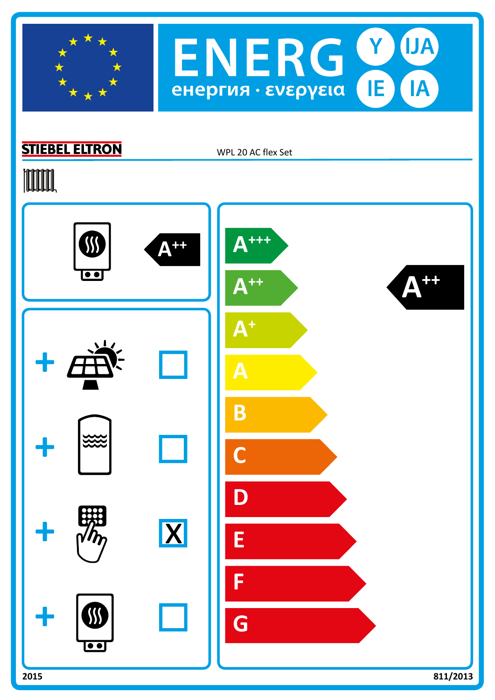



## **STIEBEL ELTRON**

WPL 20 AC flex Set

## **TOOTAL**

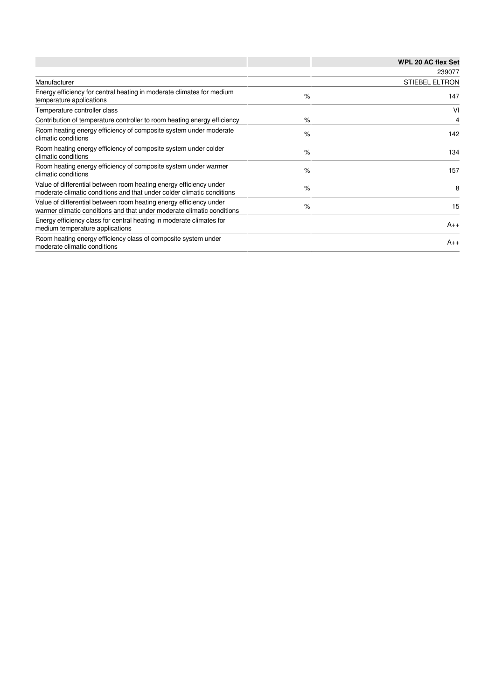|                                                                                                                                              |      | <b>WPL 20 AC flex Set</b> |
|----------------------------------------------------------------------------------------------------------------------------------------------|------|---------------------------|
|                                                                                                                                              |      | 239077                    |
| Manufacturer                                                                                                                                 |      | <b>STIEBEL ELTRON</b>     |
| Energy efficiency for central heating in moderate climates for medium<br>temperature applications                                            | $\%$ | 147                       |
| Temperature controller class                                                                                                                 |      | VI                        |
| Contribution of temperature controller to room heating energy efficiency                                                                     | $\%$ | 4                         |
| Room heating energy efficiency of composite system under moderate<br>climatic conditions                                                     | $\%$ | 142                       |
| Room heating energy efficiency of composite system under colder<br>climatic conditions                                                       | $\%$ | 134                       |
| Room heating energy efficiency of composite system under warmer<br>climatic conditions                                                       | $\%$ | 157                       |
| Value of differential between room heating energy efficiency under<br>moderate climatic conditions and that under colder climatic conditions | $\%$ | 8                         |
| Value of differential between room heating energy efficiency under<br>warmer climatic conditions and that under moderate climatic conditions | $\%$ | 15                        |
| Energy efficiency class for central heating in moderate climates for<br>medium temperature applications                                      |      | $A_{++}$                  |
| Room heating energy efficiency class of composite system under<br>moderate climatic conditions                                               |      | $A_{++}$                  |